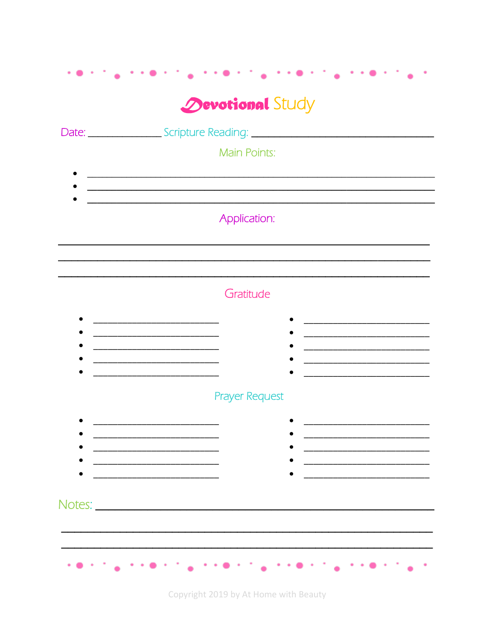## **Devotional Study**

|        | Date: Change Scripture Reading: Change Scripture Reading:         |                                                              |
|--------|-------------------------------------------------------------------|--------------------------------------------------------------|
|        | <b>Main Points:</b>                                               |                                                              |
|        |                                                                   |                                                              |
|        |                                                                   |                                                              |
|        | Application:                                                      |                                                              |
|        |                                                                   |                                                              |
|        |                                                                   |                                                              |
|        | Gratitude                                                         |                                                              |
|        |                                                                   |                                                              |
|        |                                                                   |                                                              |
|        | <u> 1989 - Johann John Stein, mars eta biztanleria (h. 1982).</u> |                                                              |
|        | <b>Prayer Request</b>                                             |                                                              |
|        |                                                                   |                                                              |
|        | <u> 1980 - Johann Barbara, martin da kasar Amerikaan kasar da</u> | <u> 1980 - Jan James James Barbara, martxa eta idazlea (</u> |
|        |                                                                   |                                                              |
|        |                                                                   |                                                              |
| Notes: |                                                                   |                                                              |
|        |                                                                   |                                                              |
|        |                                                                   |                                                              |
|        | $\sim$ 1.100                                                      | 计可编 计分解子<br><b><i>Properties</i></b><br>٠                    |

Copyright 2019 by At Home with Beauty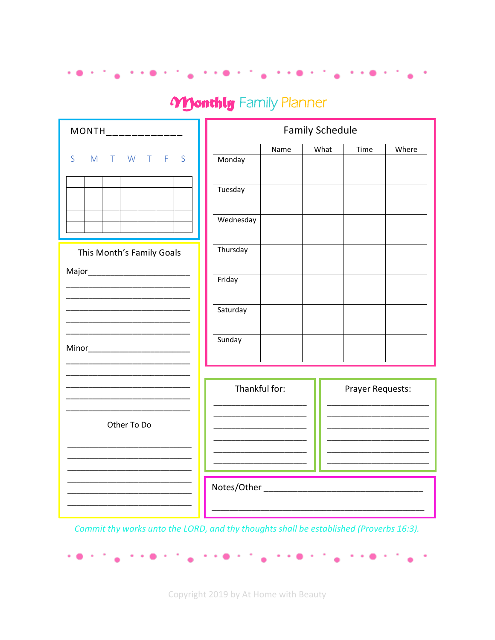## **Monthly** Family Planner

n de ser al personal de la personal de la personal de la personal de la personal de la personal de la personal

| MONTH<br>___________      | <b>Family Schedule</b>                  |  |  |  |  |
|---------------------------|-----------------------------------------|--|--|--|--|
| F S<br>S<br>M T W T       | Name<br>What<br>Time<br>Where<br>Monday |  |  |  |  |
|                           | Tuesday                                 |  |  |  |  |
|                           | Wednesday                               |  |  |  |  |
| This Month's Family Goals | Thursday                                |  |  |  |  |
|                           | Friday                                  |  |  |  |  |
|                           | Saturday                                |  |  |  |  |
|                           | Sunday                                  |  |  |  |  |
|                           | Thankful for:<br>Prayer Requests:       |  |  |  |  |
| Other To Do               |                                         |  |  |  |  |
|                           |                                         |  |  |  |  |
|                           | Notes/Other                             |  |  |  |  |

Commit thy works unto the LORD, and thy thoughts shall be established (Proverbs 16:3).

na na matang na manang naana na matang pan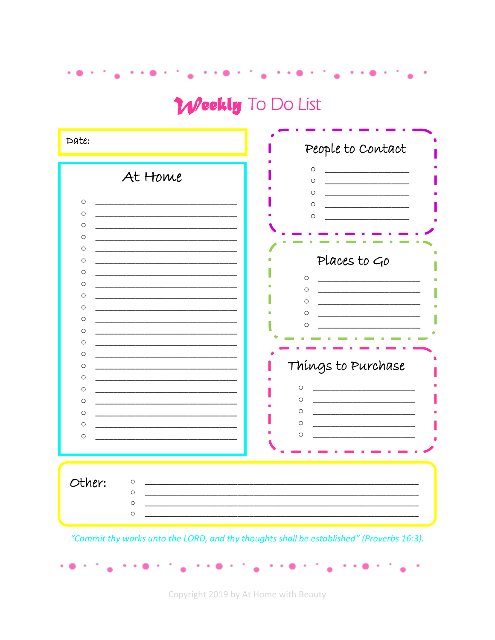Weekly To Do List

rent<sub>e</sub> rient

n kan biya ne a shekarar a shekara

| Date:                                                                                                                                                                                                                        | People to Contact                                                                                                                                                         |
|------------------------------------------------------------------------------------------------------------------------------------------------------------------------------------------------------------------------------|---------------------------------------------------------------------------------------------------------------------------------------------------------------------------|
| At Home<br>$\circ$<br>$\circ$<br>$\circ$<br>$\circ$<br>$\circ$<br>$\circ$<br>O<br>$\circ$<br>$\circ$<br>$\circ$<br>$\circ$<br>$\circ$<br>$\circ$<br>$\circ$<br>$\circ$<br>$\circ$<br>O<br>$\circ$<br>$\circ$<br>$\circ$<br>O | $\circ$<br>$\circ$<br>O<br>$\circ$<br>$\circ$<br>Places to Go<br>$\circ$<br>O<br>O<br>$\circ$<br>O<br>Things to Purchase<br>$\circ$<br>$\circ$<br>$\circ$<br>$\circ$<br>O |
| Other:<br>$\circ$<br>$\circ$<br>$\circ$<br>$\circ$                                                                                                                                                                           |                                                                                                                                                                           |
|                                                                                                                                                                                                                              | "Commit thy works unto the LORD, and thy thoughts shall be established" (Proverbs 16:3).                                                                                  |

Copyright 2019 by At Home with Beauty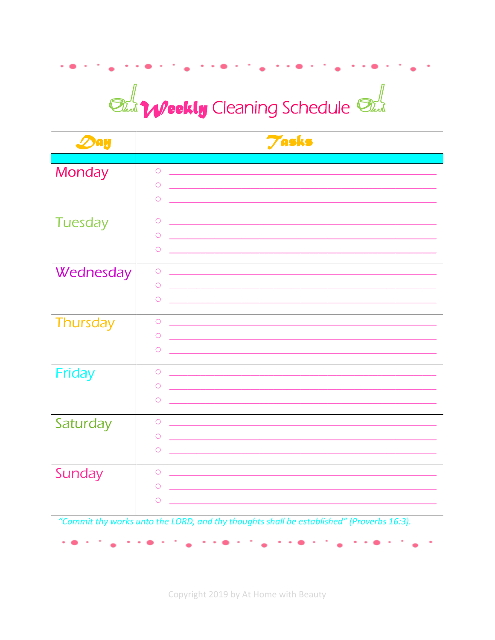## **State Weekly** Cleaning Schedule *State*

| <b>ЭАИ</b>      | <b>Tasks</b> |
|-----------------|--------------|
| Monday          | $\bigcirc$   |
|                 | $\circ$      |
|                 | $\circ$      |
| <b>Tuesday</b>  | $\bigcirc$   |
|                 | $\circ$      |
|                 | $\circ$      |
| Wednesday       | $\bigcirc$   |
|                 | $\circ$      |
|                 | $\circ$      |
| <b>Thursday</b> | $\bigcirc$   |
|                 | $\circ$      |
|                 | $\circ$      |
| Friday          | $\bigcirc$   |
|                 | $\circ$      |
|                 | $\circ$      |
| Saturday        | $\circ$      |
|                 | $\circ$      |
|                 | $\circ$      |
| Sunday          | $\circ$      |
|                 | $\circ$      |
|                 | O            |

"Commit thy works unto the LORD, and thy thoughts shall be established" (Proverbs 16:3).

 $\mathbf{v} \rightarrow \mathbf{0} \rightarrow \mathbf{0}$ 

 $\sim$  0  $\sim$  1

Copyright 2019 by At Home with Beauty

 $\mathbf{a}$  , and a set of the set of  $\mathbf{a}$ 

 $\sim$   $\sim$   $\sim$   $\sim$   $\sim$